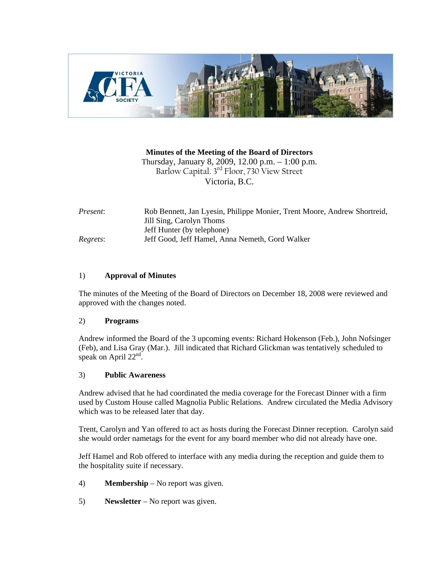

## **Minutes of the Meeting of the Board of Directors**

Thursday, January 8, 2009, 12.00 p.m. – 1:00 p.m. Barlow Capital. 3rd Floor, 730 View Street Victoria, B.C.

| Present: | Rob Bennett, Jan Lyesin, Philippe Monier, Trent Moore, Andrew Shortreid,<br>Jill Sing, Carolyn Thoms |
|----------|------------------------------------------------------------------------------------------------------|
|          | Jeff Hunter (by telephone)                                                                           |
| Regrets: | Jeff Good, Jeff Hamel, Anna Nemeth, Gord Walker                                                      |

## 1) **Approval of Minutes**

The minutes of the Meeting of the Board of Directors on December 18, 2008 were reviewed and approved with the changes noted.

### 2) **Programs**

Andrew informed the Board of the 3 upcoming events: Richard Hokenson (Feb.), John Nofsinger (Feb), and Lisa Gray (Mar.). Jill indicated that Richard Glickman was tentatively scheduled to speak on April 22<sup>nd</sup>.

### 3) **Public Awareness**

Andrew advised that he had coordinated the media coverage for the Forecast Dinner with a firm used by Custom House called Magnolia Public Relations. Andrew circulated the Media Advisory which was to be released later that day.

Trent, Carolyn and Yan offered to act as hosts during the Forecast Dinner reception. Carolyn said she would order nametags for the event for any board member who did not already have one.

Jeff Hamel and Rob offered to interface with any media during the reception and guide them to the hospitality suite if necessary.

- 4) **Membership**  No report was given.
- 5) **Newsletter**  No report was given.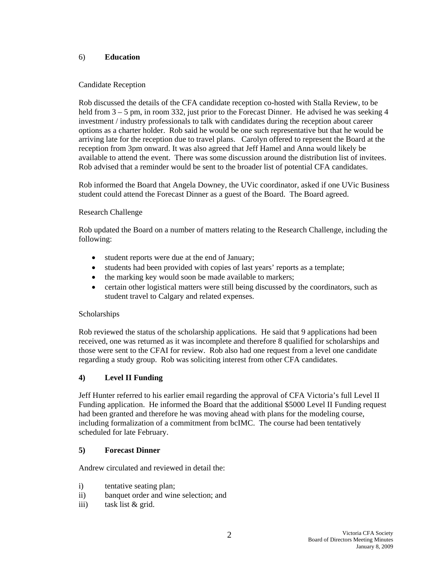## 6) **Education**

## Candidate Reception

Rob discussed the details of the CFA candidate reception co-hosted with Stalla Review, to be held from  $3 - 5$  pm, in room 332, just prior to the Forecast Dinner. He advised he was seeking 4 investment / industry professionals to talk with candidates during the reception about career options as a charter holder. Rob said he would be one such representative but that he would be arriving late for the reception due to travel plans. Carolyn offered to represent the Board at the reception from 3pm onward. It was also agreed that Jeff Hamel and Anna would likely be available to attend the event. There was some discussion around the distribution list of invitees. Rob advised that a reminder would be sent to the broader list of potential CFA candidates.

Rob informed the Board that Angela Downey, the UVic coordinator, asked if one UVic Business student could attend the Forecast Dinner as a guest of the Board. The Board agreed.

## Research Challenge

Rob updated the Board on a number of matters relating to the Research Challenge, including the following:

- student reports were due at the end of January;
- students had been provided with copies of last years' reports as a template;
- the marking key would soon be made available to markers;
- certain other logistical matters were still being discussed by the coordinators, such as student travel to Calgary and related expenses.

### **Scholarships**

Rob reviewed the status of the scholarship applications. He said that 9 applications had been received, one was returned as it was incomplete and therefore 8 qualified for scholarships and those were sent to the CFAI for review. Rob also had one request from a level one candidate regarding a study group. Rob was soliciting interest from other CFA candidates.

# **4) Level II Funding**

Jeff Hunter referred to his earlier email regarding the approval of CFA Victoria's full Level II Funding application. He informed the Board that the additional \$5000 Level II Funding request had been granted and therefore he was moving ahead with plans for the modeling course, including formalization of a commitment from bcIMC. The course had been tentatively scheduled for late February.

### **5) Forecast Dinner**

Andrew circulated and reviewed in detail the:

- i) tentative seating plan;
- ii) banquet order and wine selection; and
- iii) task list & grid.